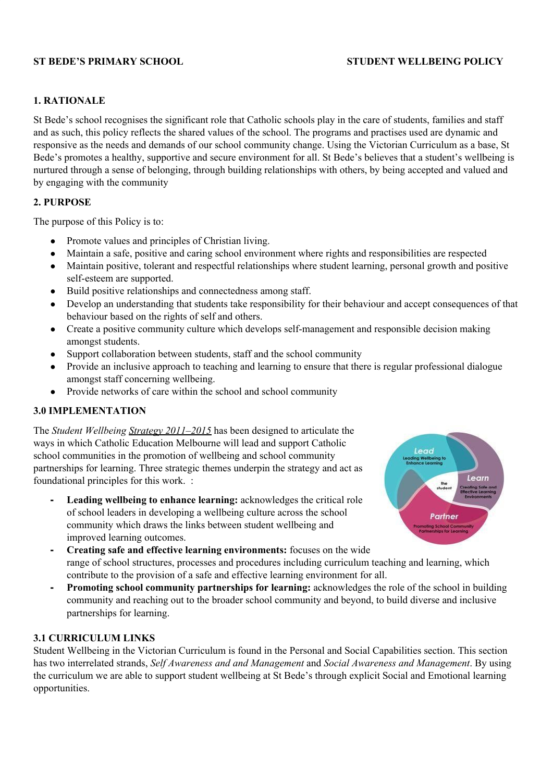## **ST BEDE'S PRIMARY SCHOOL STUDENT WELLBEING POLICY**

#### **1. RATIONALE**

St Bede's school recognises the significant role that Catholic schools play in the care of students, families and staff and as such, this policy reflects the shared values of the school. The programs and practises used are dynamic and responsive as the needs and demands of our school community change. Using the Victorian Curriculum as a base, St Bede's promotes a healthy, supportive and secure environment for all. St Bede's believes that a student's wellbeing is nurtured through a sense of belonging, through building relationships with others, by being accepted and valued and by engaging with the community

#### **2. PURPOSE**

The purpose of this Policy is to:

- Promote values and principles of Christian living.
- Maintain a safe, positive and caring school environment where rights and responsibilities are respected
- Maintain positive, tolerant and respectful relationships where student learning, personal growth and positive self-esteem are supported.
- Build positive relationships and connectedness among staff.
- Develop an understanding that students take responsibility for their behaviour and accept consequences of that behaviour based on the rights of self and others.
- Create a positive community culture which develops self-management and responsible decision making amongst students.
- Support collaboration between students, staff and the school community
- Provide an inclusive approach to teaching and learning to ensure that there is regular professional dialogue amongst staff concerning wellbeing.
- Provide networks of care within the school and school community

#### **3.0 IMPLEMENTATION**

The *Student Wellbeing Strategy [2011–2015](http://www.cem.edu.au/WorkArea/linkit.aspx?LinkIdentifier=id&ItemID=5474&libID=5490)* has been designed to articulate the ways in which Catholic Education Melbourne will lead and support Catholic school communities in the promotion of wellbeing and school community partnerships for learning. Three strategic themes underpin the strategy and act as foundational principles for this work. :

**- Leading wellbeing to enhance learning:** acknowledges the critical role of school leaders in developing a wellbeing culture across the school community which draws the links between student wellbeing and improved learning outcomes.



- **- Creating safe and effective learning environments:** focuses on the wide range of school structures, processes and procedures including curriculum teaching and learning, which contribute to the provision of a safe and effective learning environment for all.
- **- Promoting school community partnerships for learning:** acknowledges the role of the school in building community and reaching out to the broader school community and beyond, to build diverse and inclusive partnerships for learning.

#### **3.1 CURRICULUM LINKS**

Student Wellbeing in the Victorian Curriculum is found in the Personal and Social Capabilities section. This section has two interrelated strands, *Self Awareness and and Management* and *Social Awareness and Management*. By using the curriculum we are able to support student wellbeing at St Bede's through explicit Social and Emotional learning opportunities.